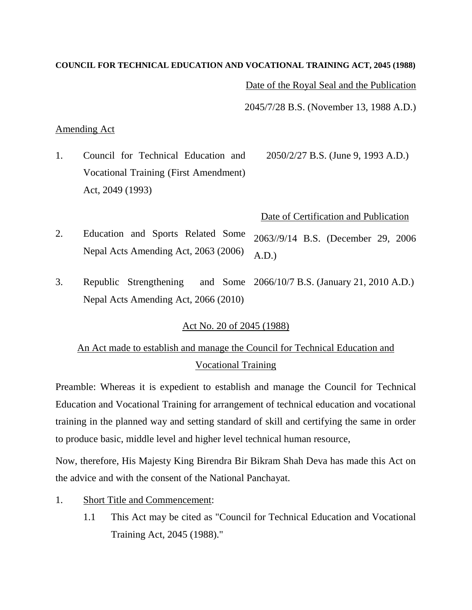#### **COUNCIL FOR TECHNICAL EDUCATION AND VOCATIONAL TRAINING ACT, 2045 (1988)**

Date of the Royal Seal and the Publication

2045/7/28 B.S. (November 13, 1988 A.D.)

#### Amending Act

1. Council for Technical Education and Vocational Training (First Amendment) Act, 2049 (1993) 2050/2/27 B.S. (June 9, 1993 A.D.)

## Date of Certification and Publication

- 2. Education and Sports Related Some Nepal Acts Amending Act, 2063 (2006) 2063//9/14 B.S. (December 29, 2006 A.D.)
- 3. Republic Strengthening Nepal Acts Amending Act, 2066 (2010) and Some 2066/10/7 B.S. (January 21, 2010 A.D.)

## Act No. 20 of 2045 (1988)

# An Act made to establish and manage the Council for Technical Education and Vocational Training

Preamble: Whereas it is expedient to establish and manage the Council for Technical Education and Vocational Training for arrangement of technical education and vocational training in the planned way and setting standard of skill and certifying the same in order to produce basic, middle level and higher level technical human resource,

Now, therefore, His Majesty King Birendra Bir Bikram Shah Deva has made this Act on the advice and with the consent of the National Panchayat.

- 1. Short Title and Commencement:
	- 1.1 This Act may be cited as "Council for Technical Education and Vocational Training Act, 2045 (1988)."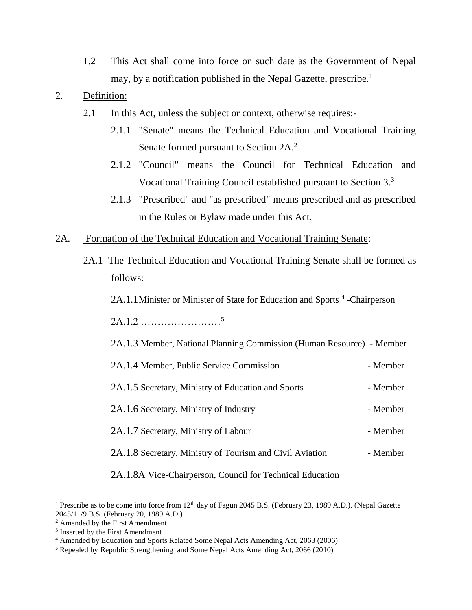1.2 This Act shall come into force on such date as the Government of Nepal may, by a notification published in the Nepal Gazette, prescribe.<sup>1</sup>

## 2. Definition:

- 2.1 In this Act, unless the subject or context, otherwise requires:-
	- 2.1.1 "Senate" means the Technical Education and Vocational Training Senate formed pursuant to Section 2A.<sup>2</sup>
	- 2.1.2 "Council" means the Council for Technical Education and Vocational Training Council established pursuant to Section 3.<sup>3</sup>
	- 2.1.3 "Prescribed" and "as prescribed" means prescribed and as prescribed in the Rules or Bylaw made under this Act.
- 2A. Formation of the Technical Education and Vocational Training Senate:
	- 2A.1 The Technical Education and Vocational Training Senate shall be formed as follows:

2A.1.1 Minister or Minister of State for Education and Sports<sup>4</sup>-Chairperson

2A.1.2 ……………………<sup>5</sup>

2A.1.3 Member, National Planning Commission (Human Resource) - Member

| 2A.1.4 Member, Public Service Commission                 | - Member |
|----------------------------------------------------------|----------|
| 2A.1.5 Secretary, Ministry of Education and Sports       | - Member |
| 2A.1.6 Secretary, Ministry of Industry                   | - Member |
| 2A.1.7 Secretary, Ministry of Labour                     | - Member |
| 2A.1.8 Secretary, Ministry of Tourism and Civil Aviation | - Member |
|                                                          |          |

2A.1.8A Vice-Chairperson, Council for Technical Education

<sup>&</sup>lt;sup>1</sup> Prescribe as to be come into force from 12<sup>th</sup> day of Fagun 2045 B.S. (February 23, 1989 A.D.). (Nepal Gazette 2045/11/9 B.S. (February 20, 1989 A.D.)

<sup>2</sup> Amended by the First Amendment

<sup>&</sup>lt;sup>3</sup> Inserted by the First Amendment

<sup>4</sup> Amended by Education and Sports Related Some Nepal Acts Amending Act, 2063 (2006)

<sup>5</sup> Repealed by Republic Strengthening and Some Nepal Acts Amending Act, 2066 (2010)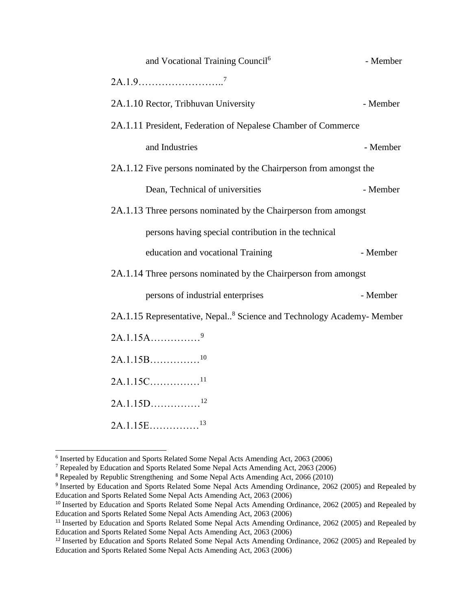| and Vocational Training Council <sup>6</sup>                                     | - Member |
|----------------------------------------------------------------------------------|----------|
|                                                                                  |          |
| 2A.1.10 Rector, Tribhuvan University                                             | - Member |
| 2A.1.11 President, Federation of Nepalese Chamber of Commerce                    |          |
| and Industries                                                                   | - Member |
| 2A.1.12 Five persons nominated by the Chairperson from amongst the               |          |
| Dean, Technical of universities                                                  | - Member |
| 2A.1.13 Three persons nominated by the Chairperson from amongst                  |          |
| persons having special contribution in the technical                             |          |
| education and vocational Training                                                | - Member |
| 2A.1.14 Three persons nominated by the Chairperson from amongst                  |          |
| persons of industrial enterprises                                                | - Member |
| 2A.1.15 Representative, Nepal <sup>8</sup> Science and Technology Academy-Member |          |
| $2A.1.15A$ <sup>9</sup>                                                          |          |
| $2A.1.15B$ <sup>10</sup>                                                         |          |
| $2A.1.15C$ <sup>11</sup>                                                         |          |
| $2A.1.15D$ <sup>12</sup>                                                         |          |
| 13<br>$2A.1.15E$                                                                 |          |

 6 Inserted by Education and Sports Related Some Nepal Acts Amending Act, 2063 (2006)

<sup>7</sup> Repealed by Education and Sports Related Some Nepal Acts Amending Act, 2063 (2006)

<sup>8</sup> Repealed by Republic Strengthening and Some Nepal Acts Amending Act, 2066 (2010)

<sup>&</sup>lt;sup>9</sup> Inserted by Education and Sports Related Some Nepal Acts Amending Ordinance, 2062 (2005) and Repealed by Education and Sports Related Some Nepal Acts Amending Act, 2063 (2006)

<sup>&</sup>lt;sup>10</sup> Inserted by Education and Sports Related Some Nepal Acts Amending Ordinance, 2062 (2005) and Repealed by Education and Sports Related Some Nepal Acts Amending Act, 2063 (2006)

<sup>&</sup>lt;sup>11</sup> Inserted by Education and Sports Related Some Nepal Acts Amending Ordinance, 2062 (2005) and Repealed by Education and Sports Related Some Nepal Acts Amending Act, 2063 (2006)

<sup>&</sup>lt;sup>12</sup> Inserted by Education and Sports Related Some Nepal Acts Amending Ordinance, 2062 (2005) and Repealed by Education and Sports Related Some Nepal Acts Amending Act, 2063 (2006)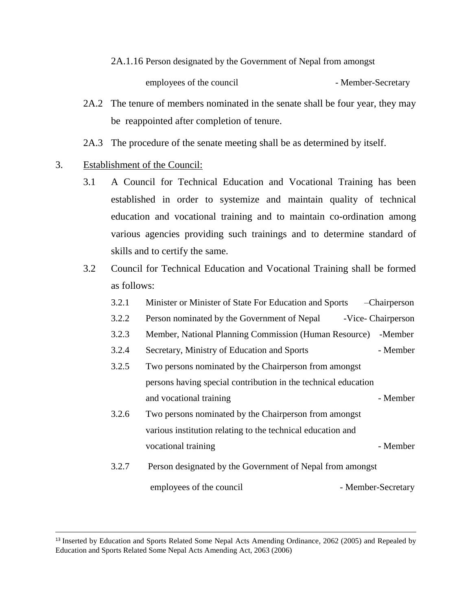2A.1.16 Person designated by the Government of Nepal from amongst

employees of the council - Member-Secretary

- 2A.2 The tenure of members nominated in the senate shall be four year, they may be reappointed after completion of tenure.
- 2A.3 The procedure of the senate meeting shall be as determined by itself.

## 3. Establishment of the Council:

l

- 3.1 A Council for Technical Education and Vocational Training has been established in order to systemize and maintain quality of technical education and vocational training and to maintain co-ordination among various agencies providing such trainings and to determine standard of skills and to certify the same.
- 3.2 Council for Technical Education and Vocational Training shall be formed as follows:
	- 3.2.1 Minister or Minister of State For Education and Sports –Chairperson
	- 3.2.2 Person nominated by the Government of Nepal -Vice- Chairperson
	- 3.2.3 Member, National Planning Commission (Human Resource) -Member
	- 3.2.4 Secretary, Ministry of Education and Sports Member
	- 3.2.5 Two persons nominated by the Chairperson from amongst persons having special contribution in the technical education and vocational training Theorem 2012 - Member
	- 3.2.6 Two persons nominated by the Chairperson from amongst various institution relating to the technical education and vocational training example of the Member
	- 3.2.7 Person designated by the Government of Nepal from amongst employees of the council - Member-Secretary

<sup>13</sup> Inserted by Education and Sports Related Some Nepal Acts Amending Ordinance, 2062 (2005) and Repealed by Education and Sports Related Some Nepal Acts Amending Act, 2063 (2006)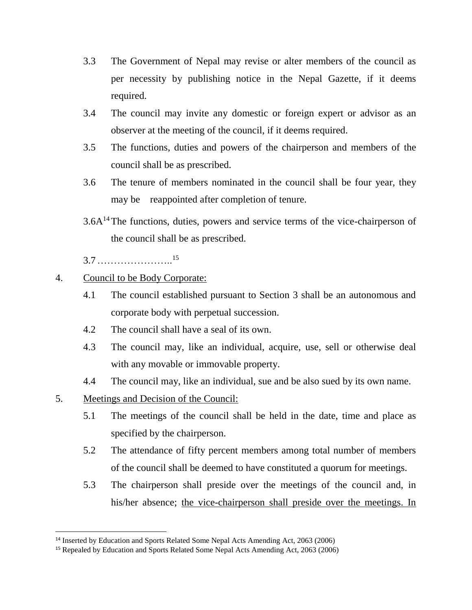- 3.3 The Government of Nepal may revise or alter members of the council as per necessity by publishing notice in the Nepal Gazette, if it deems required.
- 3.4 The council may invite any domestic or foreign expert or advisor as an observer at the meeting of the council, if it deems required.
- 3.5 The functions, duties and powers of the chairperson and members of the council shall be as prescribed.
- 3.6 The tenure of members nominated in the council shall be four year, they may be reappointed after completion of tenure.
- $3.6A<sup>14</sup>$ The functions, duties, powers and service terms of the vice-chairperson of the council shall be as prescribed.

3.7………………….. 15

- 4. Council to be Body Corporate:
	- 4.1 The council established pursuant to Section 3 shall be an autonomous and corporate body with perpetual succession.
	- 4.2 The council shall have a seal of its own.
	- 4.3 The council may, like an individual, acquire, use, sell or otherwise deal with any movable or immovable property.
	- 4.4 The council may, like an individual, sue and be also sued by its own name.
- 5. Meetings and Decision of the Council:

- 5.1 The meetings of the council shall be held in the date, time and place as specified by the chairperson.
- 5.2 The attendance of fifty percent members among total number of members of the council shall be deemed to have constituted a quorum for meetings.
- 5.3 The chairperson shall preside over the meetings of the council and, in his/her absence; the vice-chairperson shall preside over the meetings. In

<sup>&</sup>lt;sup>14</sup> Inserted by Education and Sports Related Some Nepal Acts Amending Act, 2063 (2006)

<sup>15</sup> Repealed by Education and Sports Related Some Nepal Acts Amending Act, 2063 (2006)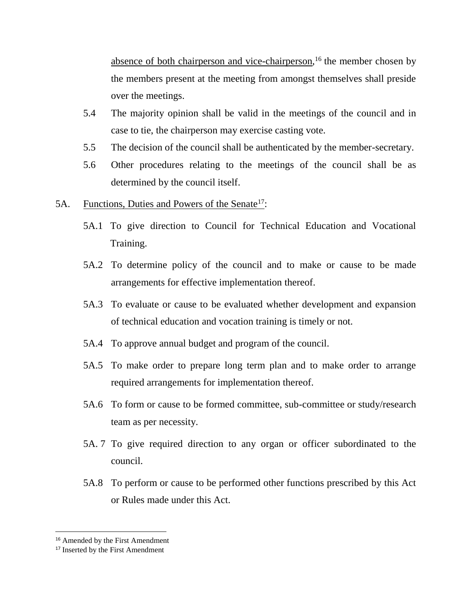absence of both chairperson and vice-chairperson,<sup>16</sup> the member chosen by the members present at the meeting from amongst themselves shall preside over the meetings.

- 5.4 The majority opinion shall be valid in the meetings of the council and in case to tie, the chairperson may exercise casting vote.
- 5.5 The decision of the council shall be authenticated by the member-secretary.
- 5.6 Other procedures relating to the meetings of the council shall be as determined by the council itself.
- 5A. Functions, Duties and Powers of the Senate<sup>17</sup>:
	- 5A.1 To give direction to Council for Technical Education and Vocational Training.
	- 5A.2 To determine policy of the council and to make or cause to be made arrangements for effective implementation thereof.
	- 5A.3 To evaluate or cause to be evaluated whether development and expansion of technical education and vocation training is timely or not.
	- 5A.4 To approve annual budget and program of the council.
	- 5A.5 To make order to prepare long term plan and to make order to arrange required arrangements for implementation thereof.
	- 5A.6 To form or cause to be formed committee, sub-committee or study/research team as per necessity.
	- 5A. 7 To give required direction to any organ or officer subordinated to the council.
	- 5A.8 To perform or cause to be performed other functions prescribed by this Act or Rules made under this Act.

<sup>&</sup>lt;sup>16</sup> Amended by the First Amendment

<sup>&</sup>lt;sup>17</sup> Inserted by the First Amendment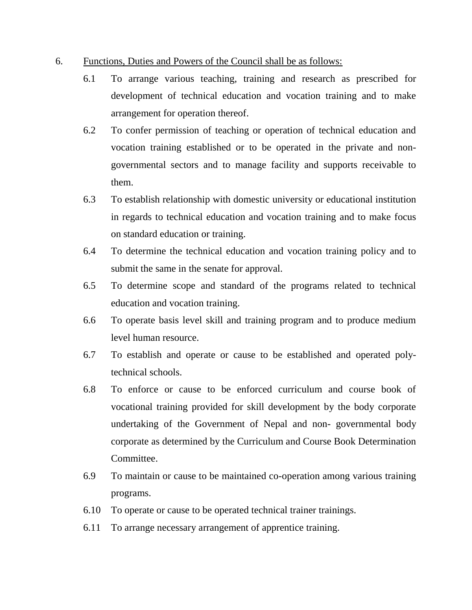- 6. Functions, Duties and Powers of the Council shall be as follows:
	- 6.1 To arrange various teaching, training and research as prescribed for development of technical education and vocation training and to make arrangement for operation thereof.
	- 6.2 To confer permission of teaching or operation of technical education and vocation training established or to be operated in the private and nongovernmental sectors and to manage facility and supports receivable to them.
	- 6.3 To establish relationship with domestic university or educational institution in regards to technical education and vocation training and to make focus on standard education or training.
	- 6.4 To determine the technical education and vocation training policy and to submit the same in the senate for approval.
	- 6.5 To determine scope and standard of the programs related to technical education and vocation training.
	- 6.6 To operate basis level skill and training program and to produce medium level human resource.
	- 6.7 To establish and operate or cause to be established and operated polytechnical schools.
	- 6.8 To enforce or cause to be enforced curriculum and course book of vocational training provided for skill development by the body corporate undertaking of the Government of Nepal and non- governmental body corporate as determined by the Curriculum and Course Book Determination Committee.
	- 6.9 To maintain or cause to be maintained co-operation among various training programs.
	- 6.10 To operate or cause to be operated technical trainer trainings.
	- 6.11 To arrange necessary arrangement of apprentice training.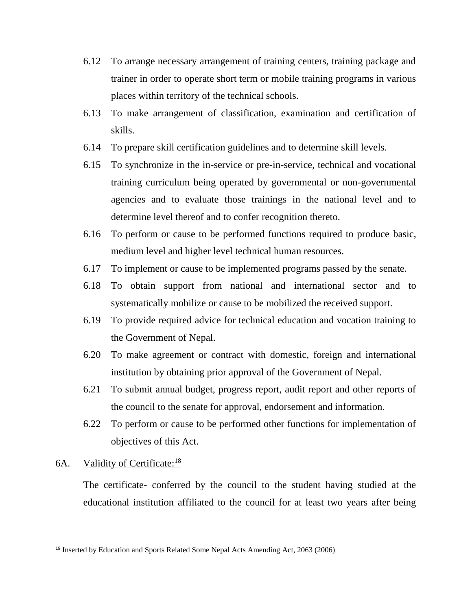- 6.12 To arrange necessary arrangement of training centers, training package and trainer in order to operate short term or mobile training programs in various places within territory of the technical schools.
- 6.13 To make arrangement of classification, examination and certification of skills.
- 6.14 To prepare skill certification guidelines and to determine skill levels.
- 6.15 To synchronize in the in-service or pre-in-service, technical and vocational training curriculum being operated by governmental or non-governmental agencies and to evaluate those trainings in the national level and to determine level thereof and to confer recognition thereto.
- 6.16 To perform or cause to be performed functions required to produce basic, medium level and higher level technical human resources.
- 6.17 To implement or cause to be implemented programs passed by the senate.
- 6.18 To obtain support from national and international sector and to systematically mobilize or cause to be mobilized the received support.
- 6.19 To provide required advice for technical education and vocation training to the Government of Nepal.
- 6.20 To make agreement or contract with domestic, foreign and international institution by obtaining prior approval of the Government of Nepal.
- 6.21 To submit annual budget, progress report, audit report and other reports of the council to the senate for approval, endorsement and information.
- 6.22 To perform or cause to be performed other functions for implementation of objectives of this Act.

## 6A. Validity of Certificate:<sup>18</sup>

 $\overline{\phantom{a}}$ 

The certificate- conferred by the council to the student having studied at the educational institution affiliated to the council for at least two years after being

<sup>18</sup> Inserted by Education and Sports Related Some Nepal Acts Amending Act, 2063 (2006)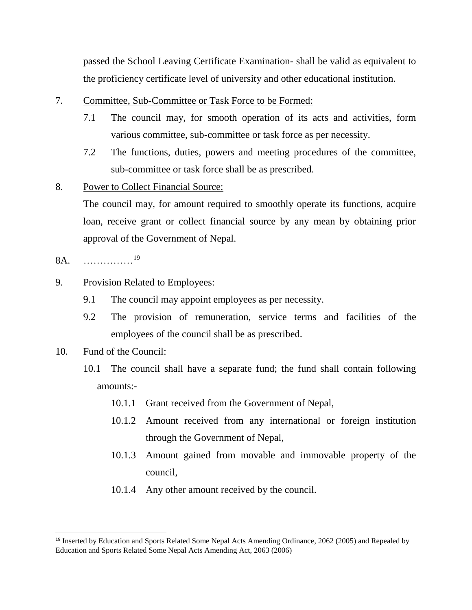passed the School Leaving Certificate Examination- shall be valid as equivalent to the proficiency certificate level of university and other educational institution.

- 7. Committee, Sub-Committee or Task Force to be Formed:
	- 7.1 The council may, for smooth operation of its acts and activities, form various committee, sub-committee or task force as per necessity.
	- 7.2 The functions, duties, powers and meeting procedures of the committee, sub-committee or task force shall be as prescribed.

## 8. Power to Collect Financial Source:

The council may, for amount required to smoothly operate its functions, acquire loan, receive grant or collect financial source by any mean by obtaining prior approval of the Government of Nepal.

8A. ……………<sup>19</sup>

## 9. Provision Related to Employees:

- 9.1 The council may appoint employees as per necessity.
- 9.2 The provision of remuneration, service terms and facilities of the employees of the council shall be as prescribed.
- 10. Fund of the Council:

- 10.1 The council shall have a separate fund; the fund shall contain following amounts:-
	- 10.1.1 Grant received from the Government of Nepal,
	- 10.1.2 Amount received from any international or foreign institution through the Government of Nepal,
	- 10.1.3 Amount gained from movable and immovable property of the council,
	- 10.1.4 Any other amount received by the council.

<sup>&</sup>lt;sup>19</sup> Inserted by Education and Sports Related Some Nepal Acts Amending Ordinance, 2062 (2005) and Repealed by Education and Sports Related Some Nepal Acts Amending Act, 2063 (2006)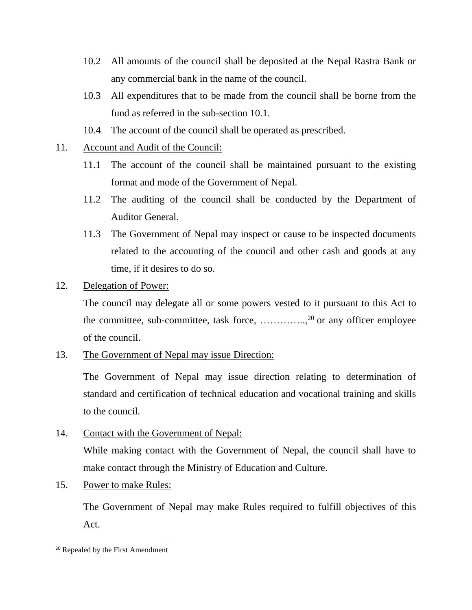- 10.2 All amounts of the council shall be deposited at the Nepal Rastra Bank or any commercial bank in the name of the council.
- 10.3 All expenditures that to be made from the council shall be borne from the fund as referred in the sub-section 10.1.
- 10.4 The account of the council shall be operated as prescribed.
- 11. Account and Audit of the Council:
	- 11.1 The account of the council shall be maintained pursuant to the existing format and mode of the Government of Nepal.
	- 11.2 The auditing of the council shall be conducted by the Department of Auditor General.
	- 11.3 The Government of Nepal may inspect or cause to be inspected documents related to the accounting of the council and other cash and goods at any time, if it desires to do so.

## 12. Delegation of Power:

The council may delegate all or some powers vested to it pursuant to this Act to the committee, sub-committee, task force, ....................<sup>20</sup> or any officer employee of the council.

13. The Government of Nepal may issue Direction:

The Government of Nepal may issue direction relating to determination of standard and certification of technical education and vocational training and skills to the council.

14. Contact with the Government of Nepal:

While making contact with the Government of Nepal, the council shall have to make contact through the Ministry of Education and Culture.

15. Power to make Rules:

The Government of Nepal may make Rules required to fulfill objectives of this Act.

 $\overline{\phantom{a}}$ 

<sup>20</sup> Repealed by the First Amendment